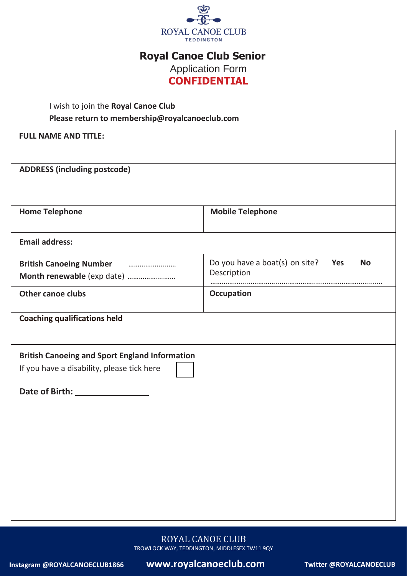

## **Royal Canoe Club Senior**

Application Form **CONFIDENTIAL**

### I wish to join the **Royal Canoe Club Please return to [membership@royalcanoeclub.com](mailto:membership@royalcanoeclub.com)**

| <b>FULL NAME AND TITLE:</b>                                                                         |                                                                   |  |  |  |  |  |  |  |
|-----------------------------------------------------------------------------------------------------|-------------------------------------------------------------------|--|--|--|--|--|--|--|
| <b>ADDRESS (including postcode)</b>                                                                 |                                                                   |  |  |  |  |  |  |  |
|                                                                                                     |                                                                   |  |  |  |  |  |  |  |
| <b>Home Telephone</b>                                                                               | <b>Mobile Telephone</b>                                           |  |  |  |  |  |  |  |
| <b>Email address:</b>                                                                               |                                                                   |  |  |  |  |  |  |  |
| <b>British Canoeing Number</b><br>Month renewable (exp date)                                        | Do you have a boat(s) on site?<br>Yes<br><b>No</b><br>Description |  |  |  |  |  |  |  |
| <b>Other canoe clubs</b>                                                                            | <b>Occupation</b>                                                 |  |  |  |  |  |  |  |
| <b>Coaching qualifications held</b>                                                                 |                                                                   |  |  |  |  |  |  |  |
| <b>British Canoeing and Sport England Information</b><br>If you have a disability, please tick here |                                                                   |  |  |  |  |  |  |  |
|                                                                                                     |                                                                   |  |  |  |  |  |  |  |
|                                                                                                     |                                                                   |  |  |  |  |  |  |  |
|                                                                                                     |                                                                   |  |  |  |  |  |  |  |
|                                                                                                     |                                                                   |  |  |  |  |  |  |  |
|                                                                                                     |                                                                   |  |  |  |  |  |  |  |
|                                                                                                     |                                                                   |  |  |  |  |  |  |  |

ROYAL CANOE CLUB TROWLOCK WAY, TEDDINGTON, MIDDLESEX TW11 9QY

**Instagram @ROYALCANOECLUB1866 www.royalcanoeclub.com Twitter @ROYALCANOECLUB**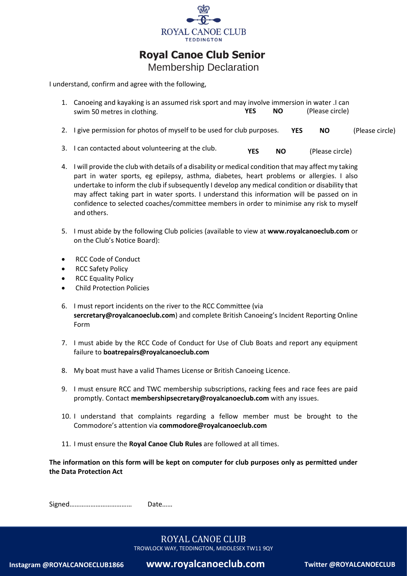

### **Royal Canoe Club Senior**

Membership Declaration

I understand, confirm and agree with the following,

| 1. Canoeing and kayaking is an assumed risk sport and may involve immersion in water . I can |     |     |            |                 |                 |  |
|----------------------------------------------------------------------------------------------|-----|-----|------------|-----------------|-----------------|--|
| swim 50 metres in clothing.                                                                  | YES | NO. |            | (Please circle) |                 |  |
| 2. I give permission for photos of myself to be used for club purposes.                      |     |     | <b>YES</b> | NO.             | (Please circle) |  |

- 3. I can contacted about volunteering at the club. **YES NO** (Please circle)
- 4. I will provide the club with details of a disability or medical condition that may affect my taking part in water sports, eg epilepsy, asthma, diabetes, heart problems or allergies. I also undertake to inform the club if subsequently I develop any medical condition or disability that may affect taking part in water sports. I understand this information will be passed on in confidence to selected coaches/committee members in order to minimise any risk to myself and others.
- 5. I must abide by the following Club policies (available to view at **[www.royalcanoeclub.com](http://www.royalcanoeclub.com/)** or on the Club's Notice Board):
- [RCC Code of Conduct](file:///C:/Users/44778/Documents/Royal%20Canoe%20Club%20artwork/Royal%20Canoe%20Club%20code%20of%20conduct%20%202022.docx)
- [RCC Safety Policy](file:///C:/Users/44778/Documents/Royal%20Canoe%20Club%20artwork/Royal%20Canoe%20Club%20safety%20policy%202022.docx)
- RCC Equality Policy
- [Child Protection Policies](https://www.royalcanoeclub.com/members-area/child-protection/)
- 6. I must report incidents on the river to the RCC Committee (via **[sercretary@royalcanoeclub.com](mailto:sercretary@royalcanoeclub.com))**) and complete [British Canoeing's Incident Reporting O](https://www.britishcanoeing.org.uk/go-canoeing/access-and-environment/access-to-water/incident-reporting)nline [Form](https://www.britishcanoeing.org.uk/go-canoeing/access-and-environment/access-to-water/incident-reporting)
- 7. I must abide by the [RCC Code of Conduct for Use of Club Boats](https://www.royalcanoeclub.com/wp-content/uploads/2018/06/RCCcode-conduct-club-boats.pdf) and report any equipment failure to **[boatrepairs@royalcanoeclub.com](mailto:boatrepairs@royalcanoeclub.com)**
- 8. My boat must have a valid [Thames License](https://www.gov.uk/government/collections/river-thames-boat-registration-and-application-forms) or [British Canoeing Licence.](https://members.britishcanoeing.org.uk/waterways-licence/)
- 9. I must ensure RCC and TWC membership subscriptions, racking fees and race fees are paid promptly. Contact **[membershipsecretary@royalcanoeclub.com](mailto:membershipsecretary@royalcanoeclub.com)** with any issues.
- 10. I understand that complaints regarding a fellow member must be brought to the Commodore's attention via **[commodore@royalcanoeclub.com](mailto:commodore@royalcanoeclub.com)**
- 11. I must ensure the **Royal Canoe Club Rules** are followed at all times.

**The information on this form will be kept on computer for club purposes only as permitted under the Data Protection Act**

Signed……………………………… Date……

TROWLOCK WAY, TEDDINGTON, MIDDLESEX TW11 9QY

**Instagram @ROYALCANOECLUB1866 www.royalcanoeclub.com Twitter @ROYALCANOECLUB**